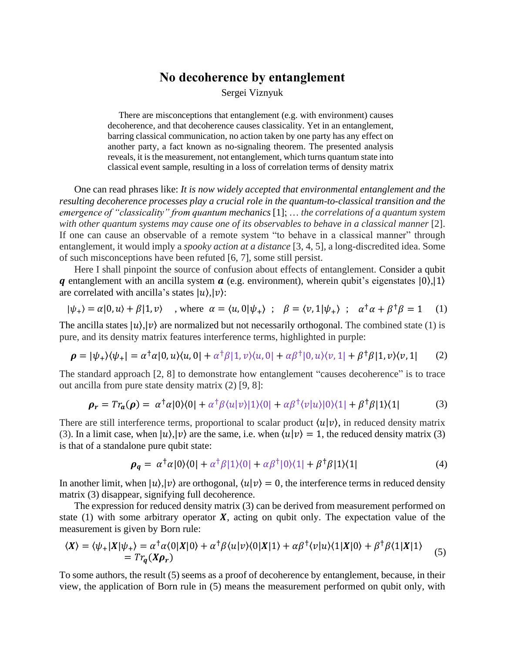## **No decoherence by entanglement**

Sergei Viznyuk

There are misconceptions that entanglement (e.g. with environment) causes decoherence, and that decoherence causes classicality. Yet in an entanglement, barring classical communication, no action taken by one party has any effect on another party, a fact known as no-signaling theorem. The presented analysis reveals, it is the measurement, not entanglement, which turns quantum state into classical event sample, resulting in a loss of correlation terms of density matrix

One can read phrases like: *It is now widely accepted that environmental entanglement and the resulting decoherence processes play a crucial role in the quantum-to-classical transition and the emergence of "classicality" from quantum mechanics* [1]; … *the correlations of a quantum system with other quantum systems may cause one of its observables to behave in a classical manner* [2]. If one can cause an observable of a remote system "to behave in a classical manner" through entanglement, it would imply a *spooky action at a distance* [3, 4, 5], a long-discredited idea. Some of such misconceptions have been refuted [6, 7], some still persist.

Here I shall pinpoint the source of confusion about effects of entanglement. Consider a qubit q entanglement with an ancilla system  $\alpha$  (e.g. environment), wherein qubit's eigenstates  $|0\rangle,|1\rangle$ are correlated with ancilla's states  $|u\rangle$ , $|v\rangle$ :

$$
|\psi_{+}\rangle = \alpha|0, u\rangle + \beta|1, v\rangle \quad , \text{ where } \alpha = \langle u, 0|\psi_{+}\rangle \; ; \; \beta = \langle v, 1|\psi_{+}\rangle \; ; \; \alpha^{\dagger}\alpha + \beta^{\dagger}\beta = 1 \quad (1)
$$

The ancilla states  $|u\rangle, |v\rangle$  are normalized but not necessarily orthogonal. The combined state (1) is pure, and its density matrix features interference terms, highlighted in purple:

$$
\boldsymbol{\rho} = |\psi_+\rangle\langle\psi_+| = \alpha^{\dagger}\alpha|0,u\rangle\langle u,0| + \alpha^{\dagger}\beta|1,v\rangle\langle u,0| + \alpha\beta^{\dagger}|0,u\rangle\langle v,1| + \beta^{\dagger}\beta|1,v\rangle\langle v,1| \qquad (2)
$$

The standard approach [2, 8] to demonstrate how entanglement "causes decoherence" is to trace out ancilla from pure state density matrix (2) [9, 8]:

$$
\rho_r = Tr_a(\rho) = \alpha^{\dagger} \alpha |0\rangle\langle 0| + \alpha^{\dagger} \beta \langle u|v\rangle |1\rangle\langle 0| + \alpha \beta^{\dagger} \langle v|u\rangle |0\rangle\langle 1| + \beta^{\dagger} \beta |1\rangle\langle 1| \tag{3}
$$

There are still interference terms, proportional to scalar product  $\langle u | v \rangle$ , in reduced density matrix (3). In a limit case, when  $|u\rangle, |v\rangle$  are the same, i.e. when  $\langle u|v\rangle = 1$ , the reduced density matrix (3) is that of a standalone pure qubit state:

$$
\rho_q = \alpha^{\dagger} \alpha |0\rangle\langle 0| + \alpha^{\dagger} \beta |1\rangle\langle 0| + \alpha \beta^{\dagger} |0\rangle\langle 1| + \beta^{\dagger} \beta |1\rangle\langle 1| \tag{4}
$$

In another limit, when  $|u\rangle, |v\rangle$  are orthogonal,  $\langle u|v\rangle = 0$ , the interference terms in reduced density matrix (3) disappear, signifying full decoherence.

The expression for reduced density matrix (3) can be derived from measurement performed on state (1) with some arbitrary operator  $X$ , acting on qubit only. The expectation value of the measurement is given by Born rule:

$$
\langle X \rangle = \langle \psi_+ | X | \psi_+ \rangle = \alpha^{\dagger} \alpha \langle 0 | X | 0 \rangle + \alpha^{\dagger} \beta \langle u | v \rangle \langle 0 | X | 1 \rangle + \alpha \beta^{\dagger} \langle v | u \rangle \langle 1 | X | 0 \rangle + \beta^{\dagger} \beta \langle 1 | X | 1 \rangle
$$
  
=  $Tr_q(X \rho_r)$  (5)

To some authors, the result (5) seems as a proof of decoherence by entanglement, because, in their view, the application of Born rule in (5) means the measurement performed on qubit only, with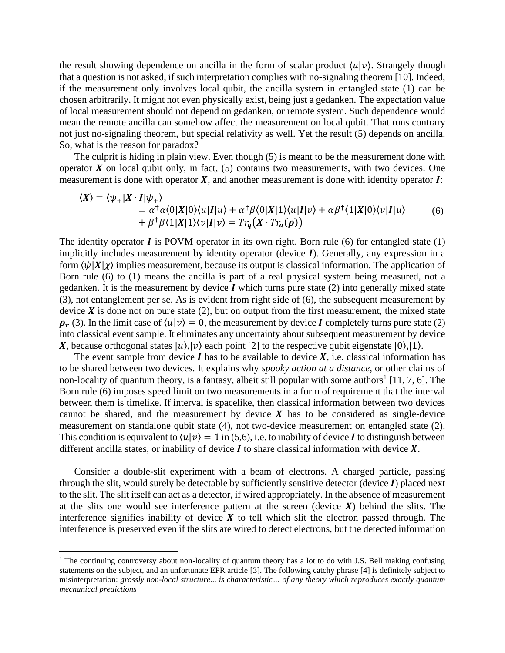the result showing dependence on ancilla in the form of scalar product  $\langle u | v \rangle$ . Strangely though that a question is not asked, if such interpretation complies with no-signaling theorem [10]. Indeed, if the measurement only involves local qubit, the ancilla system in entangled state (1) can be chosen arbitrarily. It might not even physically exist, being just a gedanken. The expectation value of local measurement should not depend on gedanken, or remote system. Such dependence would mean the remote ancilla can somehow affect the measurement on local qubit. That runs contrary not just no-signaling theorem, but special relativity as well. Yet the result (5) depends on ancilla. So, what is the reason for paradox?

The culprit is hiding in plain view. Even though (5) is meant to be the measurement done with operator  $X$  on local qubit only, in fact, (5) contains two measurements, with two devices. One measurement is done with operator  $X$ , and another measurement is done with identity operator  $I$ :

$$
\langle X \rangle = \langle \psi_+ | X \cdot I | \psi_+ \rangle
$$
  
=  $\alpha^{\dagger} \alpha \langle 0 | X | 0 \rangle \langle u | I | u \rangle + \alpha^{\dagger} \beta \langle 0 | X | 1 \rangle \langle u | I | v \rangle + \alpha \beta^{\dagger} \langle 1 | X | 0 \rangle \langle v | I | u \rangle$   
+  $\beta^{\dagger} \beta \langle 1 | X | 1 \rangle \langle v | I | v \rangle = Tr_q (X \cdot Tr_a(\rho))$  (6)

The identity operator  $\bf{I}$  is POVM operator in its own right. Born rule (6) for entangled state (1) implicitly includes measurement by identity operator (device  $I$ ). Generally, any expression in a form  $\langle \psi | X | \chi \rangle$  implies measurement, because its output is classical information. The application of Born rule (6) to (1) means the ancilla is part of a real physical system being measured, not a gedanken. It is the measurement by device  $\boldsymbol{I}$  which turns pure state (2) into generally mixed state (3), not entanglement per se. As is evident from right side of (6), the subsequent measurement by device  $\boldsymbol{X}$  is done not on pure state (2), but on output from the first measurement, the mixed state  $\rho_r$  (3). In the limit case of  $\langle u | v \rangle = 0$ , the measurement by device I completely turns pure state (2) into classical event sample. It eliminates any uncertainty about subsequent measurement by device X, because orthogonal states  $|u\rangle$ ,  $|v\rangle$  each point [2] to the respective qubit eigenstate  $|0\rangle$ ,  $|1\rangle$ .

The event sample from device  $I$  has to be available to device  $X$ , i.e. classical information has to be shared between two devices. It explains why *spooky action at a distance*, or other claims of non-locality of quantum theory, is a fantasy, albeit still popular with some authors<sup>1</sup> [11, 7, 6]. The Born rule (6) imposes speed limit on two measurements in a form of requirement that the interval between them is timelike. If interval is spacelike, then classical information between two devices cannot be shared, and the measurement by device  $X$  has to be considered as single-device measurement on standalone qubit state (4), not two-device measurement on entangled state (2). This condition is equivalent to  $\langle u | v \rangle = 1$  in (5,6), i.e. to inability of device *I* to distinguish between different ancilla states, or inability of device  $I$  to share classical information with device  $X$ .

Consider a double-slit experiment with a beam of electrons. A charged particle, passing through the slit, would surely be detectable by sufficiently sensitive detector (device  $I$ ) placed next to the slit. The slit itself can act as a detector, if wired appropriately. In the absence of measurement at the slits one would see interference pattern at the screen (device  $\boldsymbol{X}$ ) behind the slits. The interference signifies inability of device  $\boldsymbol{X}$  to tell which slit the electron passed through. The interference is preserved even if the slits are wired to detect electrons, but the detected information

<sup>&</sup>lt;sup>1</sup> The continuing controversy about non-locality of quantum theory has a lot to do with J.S. Bell making confusing statements on the subject, and an unfortunate EPR article [3]. The following catchy phrase [4] is definitely subject to misinterpretation: *grossly non-local structure... is characteristic… of any theory which reproduces exactly quantum mechanical predictions*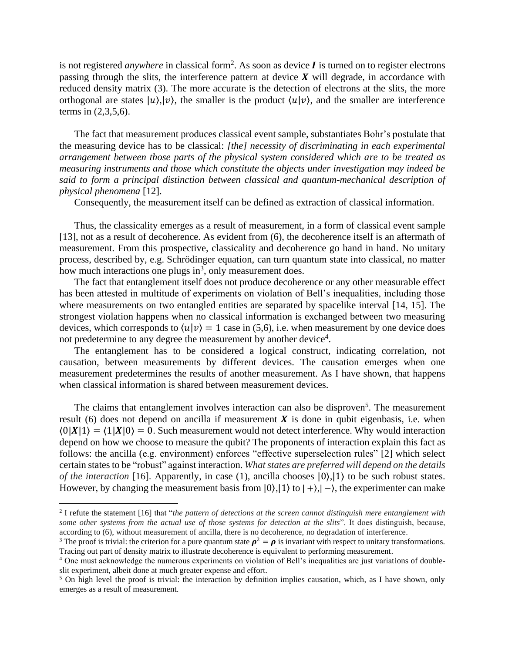is not registered *anywhere* in classical form<sup>2</sup>. As soon as device  $I$  is turned on to register electrons passing through the slits, the interference pattern at device  $X$  will degrade, in accordance with reduced density matrix (3). The more accurate is the detection of electrons at the slits, the more orthogonal are states  $|u\rangle, |v\rangle$ , the smaller is the product  $\langle u|v\rangle$ , and the smaller are interference terms in (2,3,5,6).

The fact that measurement produces classical event sample, substantiates Bohr's postulate that the measuring device has to be classical: *[the] necessity of discriminating in each experimental arrangement between those parts of the physical system considered which are to be treated as measuring instruments and those which constitute the objects under investigation may indeed be said to form a principal distinction between classical and quantum-mechanical description of physical phenomena* [12].

Consequently, the measurement itself can be defined as extraction of classical information.

Thus, the classicality emerges as a result of measurement, in a form of classical event sample [13], not as a result of decoherence. As evident from (6), the decoherence itself is an aftermath of measurement. From this prospective, classicality and decoherence go hand in hand. No unitary process, described by, e.g. Schrödinger equation, can turn quantum state into classical, no matter how much interactions one plugs in<sup>3</sup>, only measurement does.

The fact that entanglement itself does not produce decoherence or any other measurable effect has been attested in multitude of experiments on violation of Bell's inequalities, including those where measurements on two entangled entities are separated by spacelike interval [14, 15]. The strongest violation happens when no classical information is exchanged between two measuring devices, which corresponds to  $\langle u | v \rangle = 1$  case in (5,6), i.e. when measurement by one device does not predetermine to any degree the measurement by another device<sup>4</sup>.

The entanglement has to be considered a logical construct, indicating correlation, not causation, between measurements by different devices. The causation emerges when one measurement predetermines the results of another measurement. As I have shown, that happens when classical information is shared between measurement devices.

The claims that entanglement involves interaction can also be disproven<sup>5</sup>. The measurement result (6) does not depend on ancilla if measurement  $X$  is done in qubit eigenbasis, i.e. when  $\langle 0|\mathbf{X}|1\rangle = \langle 1|\mathbf{X}|0\rangle = 0$ . Such measurement would not detect interference. Why would interaction depend on how we choose to measure the qubit? The proponents of interaction explain this fact as follows: the ancilla (e.g. environment) enforces "effective superselection rules" [2] which select certain states to be "robust" against interaction. *What states are preferred will depend on the details of the interaction* [16]. Apparently, in case (1), ancilla chooses  $|0\rangle$ ,  $|1\rangle$  to be such robust states. However, by changing the measurement basis from  $|0\rangle,|1\rangle$  to  $|+\rangle,|-\rangle$ , the experimenter can make

<sup>2</sup> I refute the statement [16] that "*the pattern of detections at the screen cannot distinguish mere entanglement with some other systems from the actual use of those systems for detection at the slits*". It does distinguish, because, according to (6), without measurement of ancilla, there is no decoherence, no degradation of interference.

<sup>&</sup>lt;sup>3</sup> The proof is trivial: the criterion for a pure quantum state  $\rho^2 = \rho$  is invariant with respect to unitary transformations. Tracing out part of density matrix to illustrate decoherence is equivalent to performing measurement.

<sup>4</sup> One must acknowledge the numerous experiments on violation of Bell's inequalities are just variations of doubleslit experiment, albeit done at much greater expense and effort.

 $5$  On high level the proof is trivial: the interaction by definition implies causation, which, as I have shown, only emerges as a result of measurement.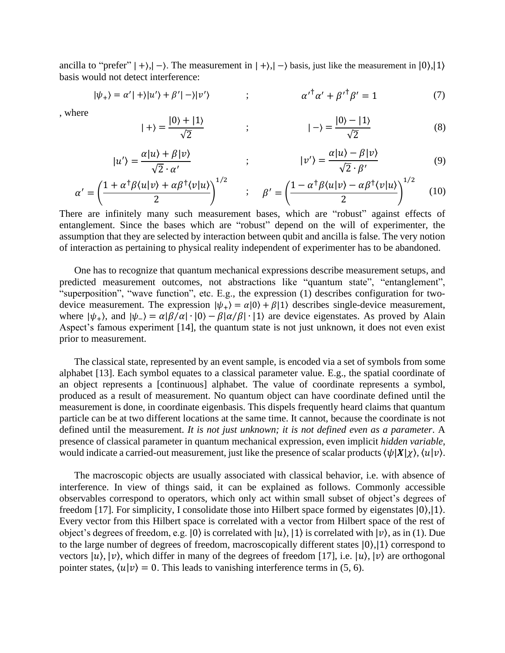ancilla to "prefer"  $| + \rangle$ , $| - \rangle$ . The measurement in  $| + \rangle$ , $| - \rangle$  basis, just like the measurement in  $| 0 \rangle$ , $| 1 \rangle$ basis would not detect interference:

$$
|\psi_{+}\rangle = \alpha'|\div\rangle|u'\rangle + \beta'|\div\rangle|v'\rangle \qquad ; \qquad \alpha'^{\dagger}\alpha' + {\beta'}^{\dagger}\beta' = 1 \tag{7}
$$

, where

 $\vert$ 

$$
+\rangle = \frac{|0\rangle + |1\rangle}{\sqrt{2}} \qquad ; \qquad \qquad |-\rangle = \frac{|0\rangle - |1\rangle}{\sqrt{2}} \tag{8}
$$

$$
|u'\rangle = \frac{\alpha|u\rangle + \beta|v\rangle}{\sqrt{2} \cdot \alpha'} \qquad ; \qquad |v'\rangle = \frac{\alpha|u\rangle - \beta|v\rangle}{\sqrt{2} \cdot \beta'} \qquad (9)
$$

$$
\alpha' = \left(\frac{1 + \alpha^{\dagger}\beta\langle u|v\rangle + \alpha\beta^{\dagger}\langle v|u\rangle}{2}\right)^{1/2} \qquad ; \qquad \beta' = \left(\frac{1 - \alpha^{\dagger}\beta\langle u|v\rangle - \alpha\beta^{\dagger}\langle v|u\rangle}{2}\right)^{1/2} \tag{10}
$$

There are infinitely many such measurement bases, which are "robust" against effects of entanglement. Since the bases which are "robust" depend on the will of experimenter, the assumption that they are selected by interaction between qubit and ancilla is false. The very notion of interaction as pertaining to physical reality independent of experimenter has to be abandoned.

One has to recognize that quantum mechanical expressions describe measurement setups, and predicted measurement outcomes, not abstractions like "quantum state", "entanglement", "superposition", "wave function", etc. E.g., the expression (1) describes configuration for twodevice measurement. The expression  $|\psi_+\rangle = \alpha|0\rangle + \beta|1\rangle$  describes single-device measurement, where  $|\psi_{+}\rangle$ , and  $|\psi_{-}\rangle = \alpha |\beta/\alpha| \cdot |0\rangle - \beta |\alpha/\beta| \cdot |1\rangle$  are device eigenstates. As proved by Alain Aspect's famous experiment [14], the quantum state is not just unknown, it does not even exist prior to measurement.

The classical state, represented by an event sample, is encoded via a set of symbols from some alphabet [13]. Each symbol equates to a classical parameter value. E.g., the spatial coordinate of an object represents a [continuous] alphabet. The value of coordinate represents a symbol, produced as a result of measurement. No quantum object can have coordinate defined until the measurement is done, in coordinate eigenbasis. This dispels frequently heard claims that quantum particle can be at two different locations at the same time. It cannot, because the coordinate is not defined until the measurement. *It is not just unknown; it is not defined even as a parameter*. A presence of classical parameter in quantum mechanical expression, even implicit *hidden variable*, would indicate a carried-out measurement, just like the presence of scalar products  $\langle \psi | X | \chi \rangle$ ,  $\langle u | v \rangle$ .

The macroscopic objects are usually associated with classical behavior, i.e. with absence of interference. In view of things said, it can be explained as follows. Commonly accessible observables correspond to operators, which only act within small subset of object's degrees of freedom [17]. For simplicity, I consolidate those into Hilbert space formed by eigenstates  $|0\rangle, |1\rangle$ . Every vector from this Hilbert space is correlated with a vector from Hilbert space of the rest of object's degrees of freedom, e.g.  $|0\rangle$  is correlated with  $|u\rangle$ ,  $|1\rangle$  is correlated with  $|v\rangle$ , as in (1). Due to the large number of degrees of freedom, macroscopically different states |0⟩,|1⟩ correspond to vectors  $|u\rangle$ ,  $|v\rangle$ , which differ in many of the degrees of freedom [17], i.e.  $|u\rangle$ ,  $|v\rangle$  are orthogonal pointer states,  $\langle u | v \rangle = 0$ . This leads to vanishing interference terms in (5, 6).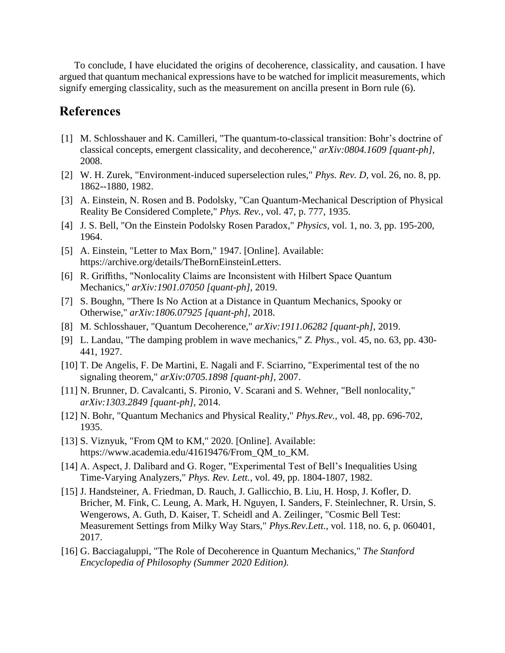To conclude, I have elucidated the origins of decoherence, classicality, and causation. I have argued that quantum mechanical expressions have to be watched for implicit measurements, which signify emerging classicality, such as the measurement on ancilla present in Born rule (6).

## **References**

- [1] M. Schlosshauer and K. Camilleri, "The quantum-to-classical transition: Bohr's doctrine of classical concepts, emergent classicality, and decoherence," *arXiv:0804.1609 [quant-ph],*  2008.
- [2] W. H. Zurek, "Environment-induced superselection rules," *Phys. Rev. D,* vol. 26, no. 8, pp. 1862--1880, 1982.
- [3] A. Einstein, N. Rosen and B. Podolsky, "Can Quantum-Mechanical Description of Physical Reality Be Considered Complete," *Phys. Rev.,* vol. 47, p. 777, 1935.
- [4] J. S. Bell, "On the Einstein Podolsky Rosen Paradox," *Physics,* vol. 1, no. 3, pp. 195-200, 1964.
- [5] A. Einstein, "Letter to Max Born," 1947. [Online]. Available: https://archive.org/details/TheBornEinsteinLetters.
- [6] R. Griffiths, "Nonlocality Claims are Inconsistent with Hilbert Space Quantum Mechanics," *arXiv:1901.07050 [quant-ph],* 2019.
- [7] S. Boughn, "There Is No Action at a Distance in Quantum Mechanics, Spooky or Otherwise," *arXiv:1806.07925 [quant-ph],* 2018.
- [8] M. Schlosshauer, "Quantum Decoherence," *arXiv:1911.06282 [quant-ph],* 2019.
- [9] L. Landau, "The damping problem in wave mechanics," *Z. Phys.,* vol. 45, no. 63, pp. 430- 441, 1927.
- [10] T. De Angelis, F. De Martini, E. Nagali and F. Sciarrino, "Experimental test of the no signaling theorem," *arXiv:0705.1898 [quant-ph],* 2007.
- [11] N. Brunner, D. Cavalcanti, S. Pironio, V. Scarani and S. Wehner, "Bell nonlocality," *arXiv:1303.2849 [quant-ph],* 2014.
- [12] N. Bohr, "Quantum Mechanics and Physical Reality," *Phys.Rev.,* vol. 48, pp. 696-702, 1935.
- [13] S. Viznyuk, "From QM to KM," 2020. [Online]. Available: https://www.academia.edu/41619476/From\_QM\_to\_KM.
- [14] A. Aspect, J. Dalibard and G. Roger, "Experimental Test of Bell's Inequalities Using Time-Varying Analyzers," *Phys. Rev. Lett.,* vol. 49, pp. 1804-1807, 1982.
- [15] J. Handsteiner, A. Friedman, D. Rauch, J. Gallicchio, B. Liu, H. Hosp, J. Kofler, D. Bricher, M. Fink, C. Leung, A. Mark, H. Nguyen, I. Sanders, F. Steinlechner, R. Ursin, S. Wengerows, A. Guth, D. Kaiser, T. Scheidl and A. Zeilinger, "Cosmic Bell Test: Measurement Settings from Milky Way Stars," *Phys.Rev.Lett.,* vol. 118, no. 6, p. 060401, 2017.
- [16] G. Bacciagaluppi, "The Role of Decoherence in Quantum Mechanics," *The Stanford Encyclopedia of Philosophy (Summer 2020 Edition).*